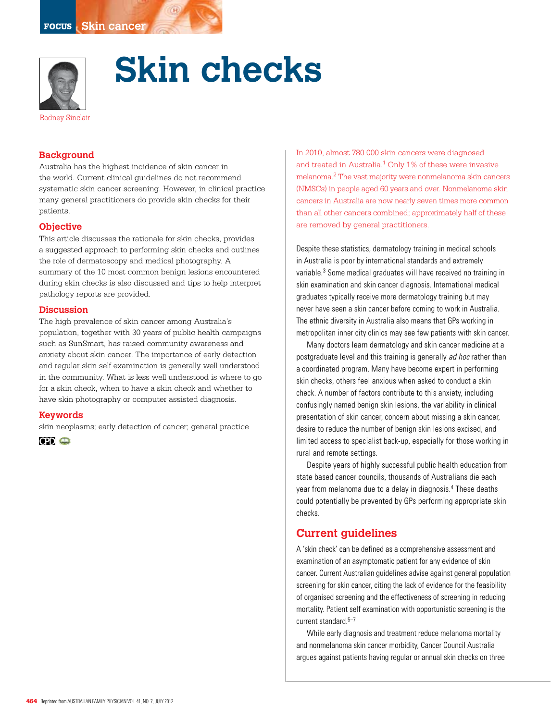

# **Skin checks**

## **Background**

Australia has the highest incidence of skin cancer in the world. Current clinical guidelines do not recommend systematic skin cancer screening. However, in clinical practice many general practitioners do provide skin checks for their patients.

## **Objective**

This article discusses the rationale for skin checks, provides a suggested approach to performing skin checks and outlines the role of dermatoscopy and medical photography. A summary of the 10 most common benign lesions encountered during skin checks is also discussed and tips to help interpret pathology reports are provided.

#### **Discussion**

The high prevalence of skin cancer among Australia's population, together with 30 years of public health campaigns such as SunSmart, has raised community awareness and anxiety about skin cancer. The importance of early detection and regular skin self examination is generally well understood in the community. What is less well understood is where to go for a skin check, when to have a skin check and whether to have skin photography or computer assisted diagnosis.

#### **Keywords**

skin neoplasms; early detection of cancer; general practice



In 2010, almost 780 000 skin cancers were diagnosed and treated in Australia.<sup>1</sup> Only 1% of these were invasive melanoma.2 The vast majority were nonmelanoma skin cancers (NMSCs) in people aged 60 years and over. Nonmelanoma skin cancers in Australia are now nearly seven times more common than all other cancers combined; approximately half of these are removed by general practitioners.

Despite these statistics, dermatology training in medical schools in Australia is poor by international standards and extremely variable.3 Some medical graduates will have received no training in skin examination and skin cancer diagnosis. International medical graduates typically receive more dermatology training but may never have seen a skin cancer before coming to work in Australia. The ethnic diversity in Australia also means that GPs working in metropolitan inner city clinics may see few patients with skin cancer.

Many doctors learn dermatology and skin cancer medicine at a postgraduate level and this training is generally *ad hoc* rather than a coordinated program. Many have become expert in performing skin checks, others feel anxious when asked to conduct a skin check. A number of factors contribute to this anxiety, including confusingly named benign skin lesions, the variability in clinical presentation of skin cancer, concern about missing a skin cancer, desire to reduce the number of benign skin lesions excised, and limited access to specialist back-up, especially for those working in rural and remote settings.

Despite years of highly successful public health education from state based cancer councils, thousands of Australians die each year from melanoma due to a delay in diagnosis.4 These deaths could potentially be prevented by GPs performing appropriate skin checks.

## **Current guidelines**

A 'skin check' can be defined as a comprehensive assessment and examination of an asymptomatic patient for any evidence of skin cancer. Current Australian guidelines advise against general population screening for skin cancer, citing the lack of evidence for the feasibility of organised screening and the effectiveness of screening in reducing mortality. Patient self examination with opportunistic screening is the current standard.<sup>5-7</sup>

While early diagnosis and treatment reduce melanoma mortality and nonmelanoma skin cancer morbidity, Cancer Council Australia argues against patients having regular or annual skin checks on three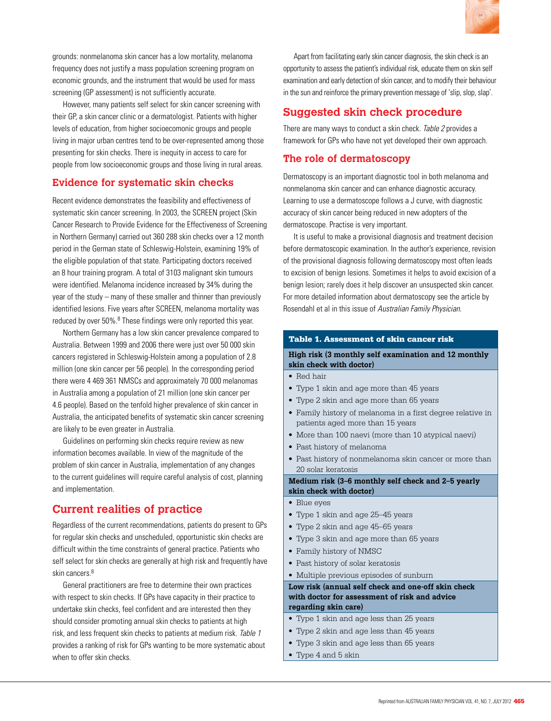

grounds: nonmelanoma skin cancer has a low mortality, melanoma frequency does not justify a mass population screening program on economic grounds, and the instrument that would be used for mass screening (GP assessment) is not sufficiently accurate.

However, many patients self select for skin cancer screening with their GP, a skin cancer clinic or a dermatologist. Patients with higher levels of education, from higher socioecomonic groups and people living in major urban centres tend to be over-represented among those presenting for skin checks. There is inequity in access to care for people from low socioeconomic groups and those living in rural areas.

## **Evidence for systematic skin checks**

Recent evidence demonstrates the feasibility and effectiveness of systematic skin cancer screening. In 2003, the SCREEN project (Skin Cancer Research to Provide Evidence for the Effectiveness of Screening in Northern Germany) carried out 360 288 skin checks over a 12 month period in the German state of Schleswig-Holstein, examining 19% of the eligible population of that state. Participating doctors received an 8 hour training program. A total of 3103 malignant skin tumours were identified. Melanoma incidence increased by 34% during the year of the study – many of these smaller and thinner than previously identified lesions. Five years after SCREEN, melanoma mortality was reduced by over 50%.<sup>8</sup> These findings were only reported this year.

Northern Germany has a low skin cancer prevalence compared to Australia. Between 1999 and 2006 there were just over 50 000 skin cancers registered in Schleswig-Holstein among a population of 2.8 million (one skin cancer per 56 people). In the corresponding period there were 4 469 361 NMSCs and approximately 70 000 melanomas in Australia among a population of 21 million (one skin cancer per 4.6 people). Based on the tenfold higher prevalence of skin cancer in Australia, the anticipated benefits of systematic skin cancer screening are likely to be even greater in Australia.

Guidelines on performing skin checks require review as new information becomes available. In view of the magnitude of the problem of skin cancer in Australia, implementation of any changes to the current guidelines will require careful analysis of cost, planning and implementation.

# **Current realities of practice**

Regardless of the current recommendations, patients do present to GPs for regular skin checks and unscheduled, opportunistic skin checks are difficult within the time constraints of general practice. Patients who self select for skin checks are generally at high risk and frequently have skin cancers.<sup>8</sup>

General practitioners are free to determine their own practices with respect to skin checks. If GPs have capacity in their practice to undertake skin checks, feel confident and are interested then they should consider promoting annual skin checks to patients at high risk, and less frequent skin checks to patients at medium risk. Table 1 provides a ranking of risk for GPs wanting to be more systematic about when to offer skin checks.

Apart from facilitating early skin cancer diagnosis, the skin check is an opportunity to assess the patient's individual risk, educate them on skin self examination and early detection of skin cancer, and to modify their behaviour in the sun and reinforce the primary prevention message of 'slip, slop, slap'.

# **Suggested skin check procedure**

There are many ways to conduct a skin check. Table 2 provides a framework for GPs who have not yet developed their own approach.

## **The role of dermatoscopy**

Dermatoscopy is an important diagnostic tool in both melanoma and nonmelanoma skin cancer and can enhance diagnostic accuracy. Learning to use a dermatoscope follows a J curve, with diagnostic accuracy of skin cancer being reduced in new adopters of the dermatoscope. Practise is very important.

It is useful to make a provisional diagnosis and treatment decision before dermatoscopic examination. In the author's experience, revision of the provisional diagnosis following dermatoscopy most often leads to excision of benign lesions. Sometimes it helps to avoid excision of a benign lesion; rarely does it help discover an unsuspected skin cancer. For more detailed information about dermatoscopy see the article by Rosendahl et al in this issue of Australian Family Physician.

#### Table 1. Assessment of skin cancer risk

## **High risk (3 monthly self examination and 12 monthly skin check with doctor)**

- Red hair
- Type 1 skin and age more than 45 years
- • Type 2 skin and age more than 65 years
- Family history of melanoma in a first degree relative in patients aged more than 15 years
- More than 100 naevi (more than 10 atypical naevi)
- • Past history of melanoma
- Past history of nonmelanoma skin cancer or more than 20 solar keratosis

**Medium risk (3–6 monthly self check and 2–5 yearly skin check with doctor)**

- Blue eyes
- Type 1 skin and age 25–45 years
- Type 2 skin and age 45–65 years
- Type 3 skin and age more than 65 years
- • Family history of NMSC
- Past history of solar keratosis
- • Multiple previous episodes of sunburn

#### **Low risk (annual self check and one-off skin check with doctor for assessment of risk and advice regarding skin care)**

- Type 1 skin and age less than 25 years
- • Type 2 skin and age less than 45 years
- • Type 3 skin and age less than 65 years
- Type 4 and 5 skin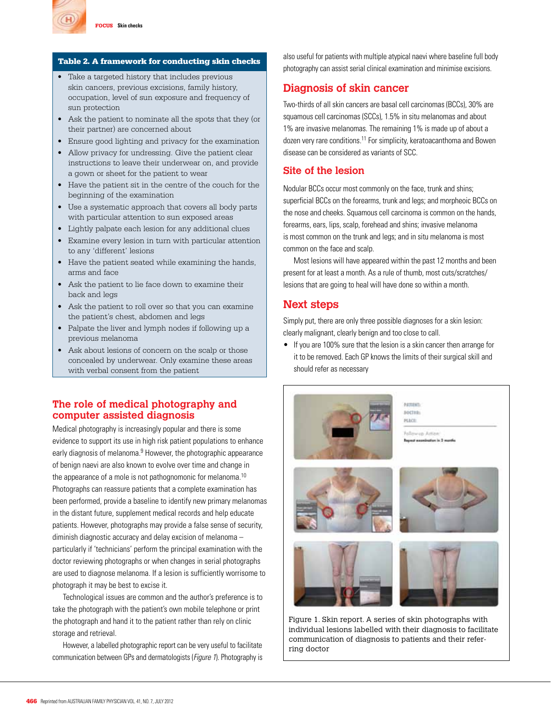

#### Table 2. A framework for conducting skin checks

- Take a targeted history that includes previous skin cancers, previous excisions, family history, occupation, level of sun exposure and frequency of sun protection
- • Ask the patient to nominate all the spots that they (or their partner) are concerned about
- Ensure good lighting and privacy for the examination
- Allow privacy for undressing. Give the patient clear instructions to leave their underwear on, and provide a gown or sheet for the patient to wear
- • Have the patient sit in the centre of the couch for the beginning of the examination
- Use a systematic approach that covers all body parts with particular attention to sun exposed areas
- Lightly palpate each lesion for any additional clues
- Examine every lesion in turn with particular attention to any 'different' lesions
- Have the patient seated while examining the hands, arms and face
- • Ask the patient to lie face down to examine their back and legs
- • Ask the patient to roll over so that you can examine the patient's chest, abdomen and legs
- • Palpate the liver and lymph nodes if following up a previous melanoma
- Ask about lesions of concern on the scalp or those concealed by underwear. Only examine these areas with verbal consent from the patient

## **The role of medical photography and computer assisted diagnosis**

Medical photography is increasingly popular and there is some evidence to support its use in high risk patient populations to enhance early diagnosis of melanoma.<sup>9</sup> However, the photographic appearance of benign naevi are also known to evolve over time and change in the appearance of a mole is not pathognomonic for melanoma.<sup>10</sup> Photographs can reassure patients that a complete examination has been performed, provide a baseline to identify new primary melanomas in the distant future, supplement medical records and help educate patients. However, photographs may provide a false sense of security, diminish diagnostic accuracy and delay excision of melanoma – particularly if 'technicians' perform the principal examination with the doctor reviewing photographs or when changes in serial photographs are used to diagnose melanoma. If a lesion is sufficiently worrisome to photograph it may be best to excise it.

Technological issues are common and the author's preference is to take the photograph with the patient's own mobile telephone or print the photograph and hand it to the patient rather than rely on clinic storage and retrieval.

However, a labelled photographic report can be very useful to facilitate communication between GPs and dermatologists (Figure 1). Photography is also useful for patients with multiple atypical naevi where baseline full body photography can assist serial clinical examination and minimise excisions.

## **Diagnosis of skin cancer**

Two-thirds of all skin cancers are basal cell carcinomas (BCCs), 30% are squamous cell carcinomas (SCCs), 1.5% in situ melanomas and about 1% are invasive melanomas. The remaining 1% is made up of about a dozen very rare conditions.11 For simplicity, keratoacanthoma and Bowen disease can be considered as variants of SCC.

## **Site of the lesion**

Nodular BCCs occur most commonly on the face, trunk and shins; superficial BCCs on the forearms, trunk and legs; and morpheoic BCCs on the nose and cheeks. Squamous cell carcinoma is common on the hands, forearms, ears, lips, scalp, forehead and shins; invasive melanoma is most common on the trunk and legs; and in situ melanoma is most common on the face and scalp.

Most lesions will have appeared within the past 12 months and been present for at least a month. As a rule of thumb, most cuts/scratches/ lesions that are going to heal will have done so within a month.

## **Next steps**

Simply put, there are only three possible diagnoses for a skin lesion: clearly malignant, clearly benign and too close to call.

• If you are 100% sure that the lesion is a skin cancer then arrange for it to be removed. Each GP knows the limits of their surgical skill and should refer as necessary



Figure 1. Skin report. A series of skin photographs with individual lesions labelled with their diagnosis to facilitate communication of diagnosis to patients and their referring doctor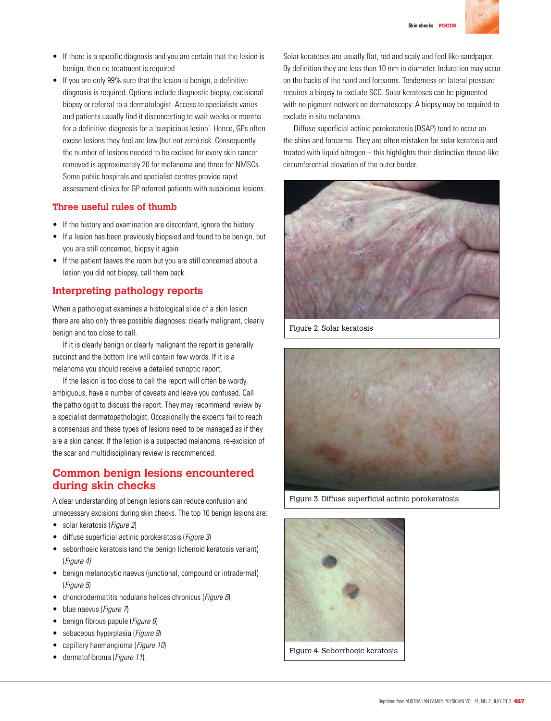

- If there is a specific diagnosis and you are certain that the lesion is benign, then no treatment is required
- If you are only 99% sure that the lesion is benign, a definitive diagnosis is required. Options include diagnostic biopsy, excisional biopsy or referral to a dermatologist. Access to specialists varies and patients usually find it disconcerting to wait weeks or months for a definitive diagnosis for a 'suspicious lesion'. Hence, GPs often excise lesions they feel are low (but not zero) risk. Consequently the number of lesions needed to be excised for every skin cancer removed is approximately 20 for melanoma and three for NMSCs. Some public hospitals and specialist centres provide rapid assessment clinics for GP referred patients with suspicious lesions.

## **Three useful rules of thumb**

- If the history and examination are discordant, ignore the history
- If a lesion has been previously biopsied and found to be benign, but you are still concerned, biopsy it again
- If the patient leaves the room but you are still concerned about a lesion you did not biopsy, call them back.

# **Interpreting pathology reports**

When a pathologist examines a histological slide of a skin lesion there are also only three possible diagnoses: clearly malignant, clearly benign and too close to call.

If it is clearly benign or clearly malignant the report is generally succinct and the bottom line will contain few words. If it is a melanoma you should receive a detailed synoptic report.

If the lesion is too close to call the report will often be wordy, ambiguous, have a number of caveats and leave you confused. Call the pathologist to discuss the report. They may recommend review by a specialist dermatopathologist. Occasionally the experts fail to reach a consensus and these types of lesions need to be managed as if they are a skin cancer. If the lesion is a suspected melanoma, re-excision of the scar and multidisciplinary review is recommended.

# **Common benign lesions encountered during skin checks**

A clear understanding of benign lesions can reduce confusion and unnecessary excisions during skin checks. The top 10 benign lesions are:

- solar keratosis (*Figure 2*)
- diffuse superficial actinic porokeratosis (*Figure 3*)
- seborrhoeic keratosis (and the benign lichenoid keratosis variant) (Figure 4)
- benign melanocytic naevus (junctional, compound or intradermal) (Figure 5)
- chondrodermatitis nodularis helices chronicus (Figure 6)
- blue naevus (Figure 7)
- benign fibrous papule (Figure 8)
- sebaceous hyperplasia (Figure 9)
- capillary haemangioma (Figure 10)
- dermatofibroma (Figure 11).

Solar keratoses are usually flat, red and scaly and feel like sandpaper. By definition they are less than 10 mm in diameter. Induration may occur on the backs of the hand and forearms. Tenderness on lateral pressure requires a biopsy to exclude SCC. Solar keratoses can be pigmented with no pigment network on dermatoscopy. A biopsy may be required to exclude in situ melanoma.

Diffuse superficial actinic porokeratosis (DSAP) tend to occur on the shins and forearms. They are often mistaken for solar keratosis and treated with liquid nitrogen – this highlights their distinctive thread-like circumferential elevation of the outer border.



Figure 2. Solar keratosis



Figure 3. Diffuse superficial actinic porokeratosis



Figure 4. Seborrhoeic keratosis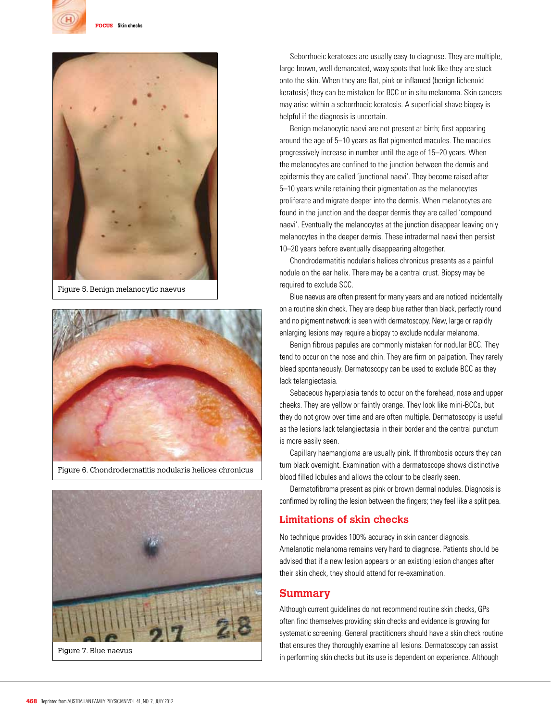



Figure 5. Benign melanocytic naevus



Figure 6. Chondrodermatitis nodularis helices chronicus



Figure 7. Blue naevus

Seborrhoeic keratoses are usually easy to diagnose. They are multiple, large brown, well demarcated, waxy spots that look like they are stuck onto the skin. When they are flat, pink or inflamed (benign lichenoid keratosis) they can be mistaken for BCC or in situ melanoma. Skin cancers may arise within a seborrhoeic keratosis. A superficial shave biopsy is helpful if the diagnosis is uncertain.

Benign melanocytic naevi are not present at birth; first appearing around the age of 5–10 years as flat pigmented macules. The macules progressively increase in number until the age of 15–20 years. When the melanocytes are confined to the junction between the dermis and epidermis they are called 'junctional naevi'. They become raised after 5–10 years while retaining their pigmentation as the melanocytes proliferate and migrate deeper into the dermis. When melanocytes are found in the junction and the deeper dermis they are called 'compound naevi'. Eventually the melanocytes at the junction disappear leaving only melanocytes in the deeper dermis. These intradermal naevi then persist 10–20 years before eventually disappearing altogether.

Chondrodermatitis nodularis helices chronicus presents as a painful nodule on the ear helix. There may be a central crust. Biopsy may be required to exclude SCC.

Blue naevus are often present for many years and are noticed incidentally on a routine skin check. They are deep blue rather than black, perfectly round and no pigment network is seen with dermatoscopy. New, large or rapidly enlarging lesions may require a biopsy to exclude nodular melanoma.

Benign fibrous papules are commonly mistaken for nodular BCC. They tend to occur on the nose and chin. They are firm on palpation. They rarely bleed spontaneously. Dermatoscopy can be used to exclude BCC as they lack telangiectasia.

Sebaceous hyperplasia tends to occur on the forehead, nose and upper cheeks. They are yellow or faintly orange. They look like mini-BCCs, but they do not grow over time and are often multiple. Dermatoscopy is useful as the lesions lack telangiectasia in their border and the central punctum is more easily seen.

Capillary haemangioma are usually pink. If thrombosis occurs they can turn black overnight. Examination with a dermatoscope shows distinctive blood filled lobules and allows the colour to be clearly seen.

Dermatofibroma present as pink or brown dermal nodules. Diagnosis is confirmed by rolling the lesion between the fingers; they feel like a split pea.

## **Limitations of skin checks**

No technique provides 100% accuracy in skin cancer diagnosis. Amelanotic melanoma remains very hard to diagnose. Patients should be advised that if a new lesion appears or an existing lesion changes after their skin check, they should attend for re-examination.

## **Summary**

Although current guidelines do not recommend routine skin checks, GPs often find themselves providing skin checks and evidence is growing for systematic screening. General practitioners should have a skin check routine that ensures they thoroughly examine all lesions. Dermatoscopy can assist in performing skin checks but its use is dependent on experience. Although